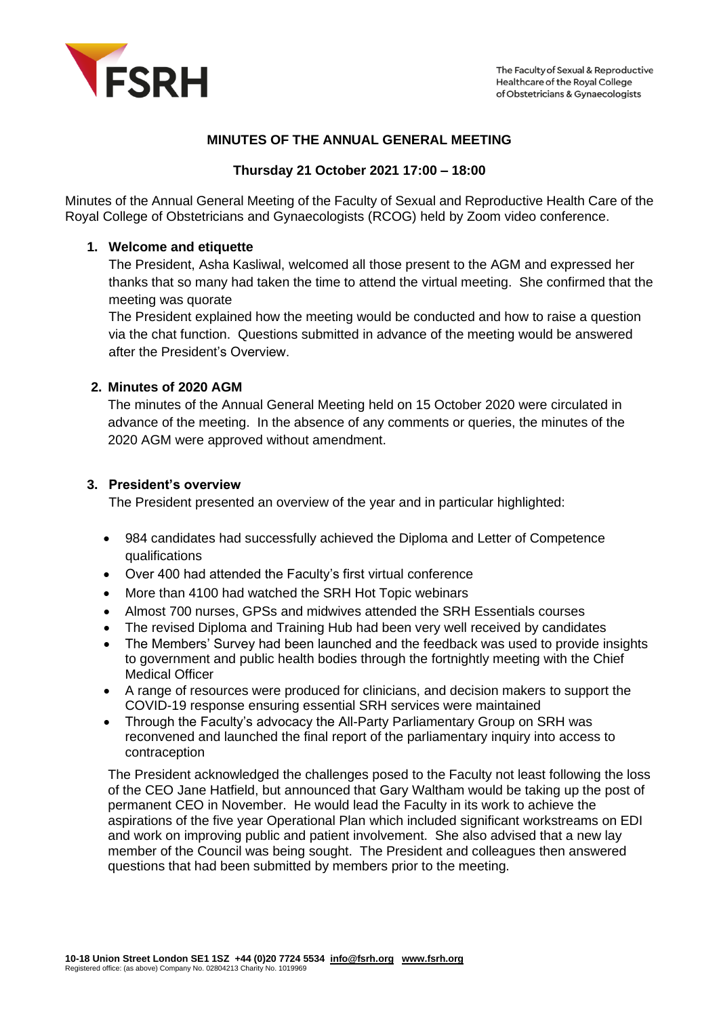

# **MINUTES OF THE ANNUAL GENERAL MEETING**

## **Thursday 21 October 2021 17:00 – 18:00**

Minutes of the Annual General Meeting of the Faculty of Sexual and Reproductive Health Care of the Royal College of Obstetricians and Gynaecologists (RCOG) held by Zoom video conference.

## **1. Welcome and etiquette**

The President, Asha Kasliwal, welcomed all those present to the AGM and expressed her thanks that so many had taken the time to attend the virtual meeting. She confirmed that the meeting was quorate

The President explained how the meeting would be conducted and how to raise a question via the chat function. Questions submitted in advance of the meeting would be answered after the President's Overview.

## **2. Minutes of 2020 AGM**

The minutes of the Annual General Meeting held on 15 October 2020 were circulated in advance of the meeting. In the absence of any comments or queries, the minutes of the 2020 AGM were approved without amendment.

#### **3. President's overview**

The President presented an overview of the year and in particular highlighted:

- 984 candidates had successfully achieved the Diploma and Letter of Competence qualifications
- Over 400 had attended the Faculty's first virtual conference
- More than 4100 had watched the SRH Hot Topic webinars
- Almost 700 nurses, GPSs and midwives attended the SRH Essentials courses
- The revised Diploma and Training Hub had been very well received by candidates
- The Members' Survey had been launched and the feedback was used to provide insights to government and public health bodies through the fortnightly meeting with the Chief Medical Officer
- A range of resources were produced for clinicians, and decision makers to support the COVID-19 response ensuring essential SRH services were maintained
- Through the Faculty's advocacy the All-Party Parliamentary Group on SRH was reconvened and launched the final report of the parliamentary inquiry into access to contraception

The President acknowledged the challenges posed to the Faculty not least following the loss of the CEO Jane Hatfield, but announced that Gary Waltham would be taking up the post of permanent CEO in November. He would lead the Faculty in its work to achieve the aspirations of the five year Operational Plan which included significant workstreams on EDI and work on improving public and patient involvement. She also advised that a new lay member of the Council was being sought. The President and colleagues then answered questions that had been submitted by members prior to the meeting.